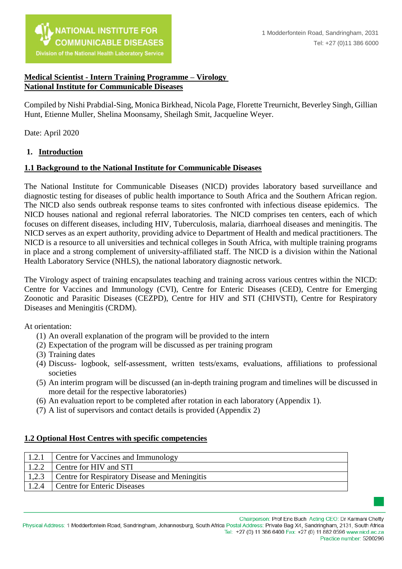

#### **Medical Scientist - Intern Training Programme – Virology National Institute for Communicable Diseases**

Compiled by Nishi Prabdial-Sing, Monica Birkhead, Nicola Page, Florette Treurnicht, Beverley Singh, Gillian Hunt, Etienne Muller, Shelina Moonsamy, Sheilagh Smit, Jacqueline Weyer.

Date: April 2020

#### **1. Introduction**

#### **1.1 Background to the National Institute for Communicable Diseases**

The National Institute for Communicable Diseases (NICD) provides laboratory based surveillance and diagnostic testing for diseases of public health importance to South Africa and the Southern African region. The NICD also sends outbreak response teams to sites confronted with infectious disease epidemics. The NICD houses national and regional referral laboratories. The NICD comprises ten centers, each of which focuses on different diseases, including HIV, Tuberculosis, malaria, diarrhoeal diseases and meningitis. The NICD serves as an expert authority, providing advice to Department of Health and medical practitioners. The NICD is a resource to all universities and technical colleges in South Africa, with multiple training programs in place and a strong complement of university-affiliated staff. The NICD is a division within the National Health Laboratory Service (NHLS), the national laboratory diagnostic network.

The Virology aspect of training encapsulates teaching and training across various centres within the NICD: Centre for Vaccines and Immunology (CVI), Centre for Enteric Diseases (CED), Centre for Emerging Zoonotic and Parasitic Diseases (CEZPD), Centre for HIV and STI (CHIVSTI), Centre for Respiratory Diseases and Meningitis (CRDM).

At orientation:

- (1) An overall explanation of the program will be provided to the intern
- (2) Expectation of the program will be discussed as per training program
- (3) Training dates
- (4) Discuss- logbook, self-assessment, written tests/exams, evaluations, affiliations to professional societies
- (5) An interim program will be discussed (an in-depth training program and timelines will be discussed in more detail for the respective laboratories)
- (6) An evaluation report to be completed after rotation in each laboratory (Appendix 1).
- (7) A list of supervisors and contact details is provided (Appendix 2)

#### **1.2 Optional Host Centres with specific competencies**

| 1.2.1 | Centre for Vaccines and Immunology                   |
|-------|------------------------------------------------------|
| 1.2.2 | Centre for HIV and STI                               |
| 1,2.3 | <b>Centre for Respiratory Disease and Meningitis</b> |
| 1.2.4 | Centre for Enteric Diseases                          |



Chairperson: Prof Eric Buch Acting CEO: Dr Karmani Chetty

Physical Address: 1 Modderfontein Road, Sandringham, Johannesburg, South Africa Postal Address: Private Bag X4, Sandringham, 2131, South Africa Tel: +27 (0) 11 386 6400 Fax: +27 (0) 11 882 0596 www.nicd.ac.za Practice number: 5200296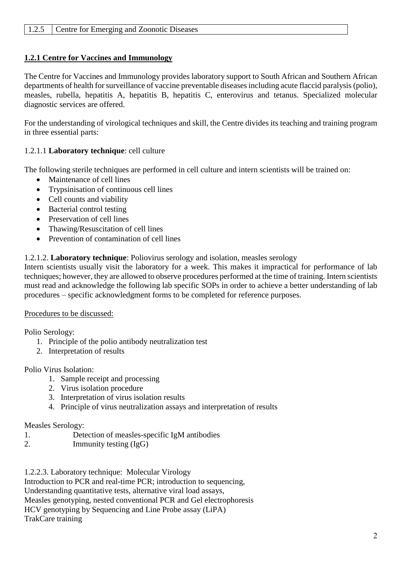## **1.2.1 Centre for Vaccines and Immunology**

The Centre for Vaccines and Immunology provides laboratory support to South African and Southern African departments of health for surveillance of vaccine preventable diseases including acute flaccid paralysis (polio), measles, rubella, hepatitis A, hepatitis B, hepatitis C, enterovirus and tetanus. Specialized molecular diagnostic services are offered.

For the understanding of virological techniques and skill, the Centre divides its teaching and training program in three essential parts:

### 1.2.1.1 **Laboratory technique**: cell culture

The following sterile techniques are performed in cell culture and intern scientists will be trained on:

- Maintenance of cell lines
- Trypsinisation of continuous cell lines
- Cell counts and viability
- Bacterial control testing
- Preservation of cell lines
- Thawing/Resuscitation of cell lines
- Prevention of contamination of cell lines

## 1.2.1.2. **Laboratory technique**: Poliovirus serology and isolation, measles serology

Intern scientists usually visit the laboratory for a week. This makes it impractical for performance of lab techniques; however, they are allowed to observe procedures performed at the time of training. Intern scientists must read and acknowledge the following lab specific SOPs in order to achieve a better understanding of lab procedures – specific acknowledgment forms to be completed for reference purposes.

#### Procedures to be discussed:

Polio Serology:

- 1. Principle of the polio antibody neutralization test
- 2. Interpretation of results

Polio Virus Isolation:

- 1. Sample receipt and processing
- 2. Virus isolation procedure
- 3. Interpretation of virus isolation results
- 4. Principle of virus neutralization assays and interpretation of results

#### Measles Serology:

- 1. Detection of measles-specific IgM antibodies
- 2. Immunity testing (IgG)

1.2.2.3. Laboratory technique: Molecular Virology

Introduction to PCR and real-time PCR; introduction to sequencing,

Understanding quantitative tests, alternative viral load assays,

Measles genotyping, nested conventional PCR and Gel electrophoresis

HCV genotyping by Sequencing and Line Probe assay (LiPA)

TrakCare training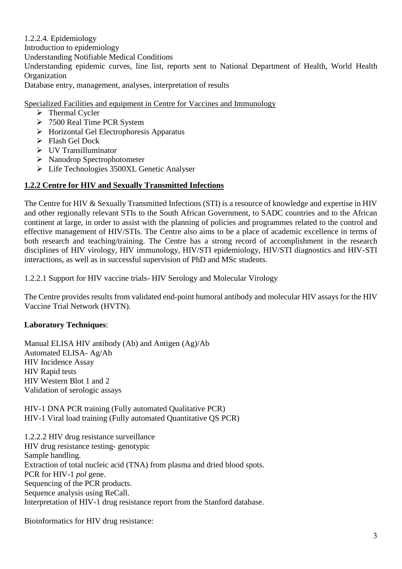1.2.2.4. Epidemiology Introduction to epidemiology Understanding Notifiable Medical Conditions Understanding epidemic curves, line list, reports sent to National Department of Health, World Health Organization Database entry, management, analyses, interpretation of results

Specialized Facilities and equipment in Centre for Vaccines and Immunology

- $\triangleright$  Thermal Cycler
- 7500 Real Time PCR System
- $\triangleright$  Horizontal Gel Electrophoresis Apparatus
- $\triangleright$  Flash Gel Dock
- UV Transilluminator
- Nanodrop Spectrophotometer
- Life Technologies 3500XL Genetic Analyser

### **1.2.2 Centre for HIV and Sexually Transmitted Infections**

The Centre for HIV & Sexually Transmitted Infections (STI) is a resource of knowledge and expertise in HIV and other regionally relevant STIs to the South African Government, to SADC countries and to the African continent at large, in order to assist with the planning of policies and programmes related to the control and effective management of HIV/STIs. The Centre also aims to be a place of academic excellence in terms of both research and teaching/training. The Centre has a strong record of accomplishment in the research disciplines of HIV virology, HIV immunology, HIV/STI epidemiology, HIV/STI diagnostics and HIV-STI interactions, as well as in successful supervision of PhD and MSc students.

1.2.2.1 Support for HIV vaccine trials- HIV Serology and Molecular Virology

The Centre provides results from validated end-point humoral antibody and molecular HIV assays for the HIV Vaccine Trial Network (HVTN).

#### **Laboratory Techniques**:

Manual ELISA HIV antibody (Ab) and Antigen (Ag)/Ab Automated ELISA- Ag/Ab HIV Incidence Assay HIV Rapid tests HIV Western Blot 1 and 2 Validation of serologic assays

HIV-1 DNA PCR training (Fully automated Qualitative PCR) HIV-1 Viral load training (Fully automated Quantitative QS PCR)

1.2.2.2 HIV drug resistance surveillance HIV drug resistance testing- genotypic Sample handling. Extraction of total nucleic acid (TNA) from plasma and dried blood spots. PCR for HIV-1 *pol* gene. Sequencing of the PCR products. Sequence analysis using ReCall. Interpretation of HIV-1 drug resistance report from the Stanford database.

Bioinformatics for HIV drug resistance: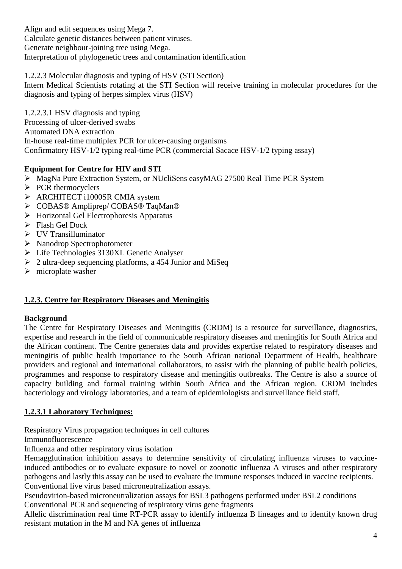Align and edit sequences using Mega 7. Calculate genetic distances between patient viruses. Generate neighbour-joining tree using Mega. Interpretation of phylogenetic trees and contamination identification

1.2.2.3 Molecular diagnosis and typing of HSV (STI Section)

Intern Medical Scientists rotating at the STI Section will receive training in molecular procedures for the diagnosis and typing of herpes simplex virus (HSV)

1.2.2.3.1 HSV diagnosis and typing Processing of ulcer-derived swabs Automated DNA extraction In-house real-time multiplex PCR for ulcer-causing organisms Confirmatory HSV-1/2 typing real-time PCR (commercial Sacace HSV-1/2 typing assay)

## **Equipment for Centre for HIV and STI**

- MagNa Pure Extraction System, or NUcliSens easyMAG 27500 Real Time PCR System
- $\triangleright$  PCR thermocyclers
- ARCHITECT i1000SR CMIA system
- COBAS® Ampliprep/ COBAS® TaqMan®
- $\triangleright$  Horizontal Gel Electrophoresis Apparatus
- > Flash Gel Dock
- UV Transilluminator
- Nanodrop Spectrophotometer
- Life Technologies 3130XL Genetic Analyser
- $\geq 2$  ultra-deep sequencing platforms, a 454 Junior and MiSeq
- $\triangleright$  microplate washer

## **1.2.3. Centre for Respiratory Diseases and Meningitis**

#### **Background**

The Centre for Respiratory Diseases and Meningitis (CRDM) is a resource for surveillance, diagnostics, expertise and research in the field of communicable respiratory diseases and meningitis for South Africa and the African continent. The Centre generates data and provides expertise related to respiratory diseases and meningitis of public health importance to the South African national Department of Health, healthcare providers and regional and international collaborators, to assist with the planning of public health policies, programmes and response to respiratory disease and meningitis outbreaks. The Centre is also a source of capacity building and formal training within South Africa and the African region. CRDM includes bacteriology and virology laboratories, and a team of epidemiologists and surveillance field staff.

## **1.2.3.1 Laboratory Techniques:**

Respiratory Virus propagation techniques in cell cultures

Immunofluorescence

Influenza and other respiratory virus isolation

Hemagglutination inhibition assays to determine sensitivity of circulating influenza viruses to vaccineinduced antibodies or to evaluate exposure to novel or zoonotic influenza A viruses and other respiratory pathogens and lastly this assay can be used to evaluate the immune responses induced in vaccine recipients. Conventional live virus based microneutralization assays.

Pseudovirion-based microneutralization assays for BSL3 pathogens performed under BSL2 conditions Conventional PCR and sequencing of respiratory virus gene fragments

Allelic discrimination real time RT-PCR assay to identify influenza B lineages and to identify known drug resistant mutation in the M and NA genes of influenza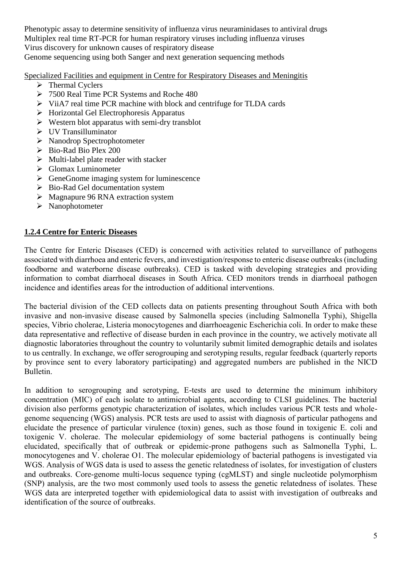Phenotypic assay to determine sensitivity of influenza virus neuraminidases to antiviral drugs Multiplex real time RT-PCR for human respiratory viruses including influenza viruses Virus discovery for unknown causes of respiratory disease

Genome sequencing using both Sanger and next generation sequencing methods

Specialized Facilities and equipment in Centre for Respiratory Diseases and Meningitis

- $\triangleright$  Thermal Cyclers
- 7500 Real Time PCR Systems and Roche 480
- $\triangleright$  ViiA7 real time PCR machine with block and centrifuge for TLDA cards
- $\triangleright$  Horizontal Gel Electrophoresis Apparatus
- $\triangleright$  Western blot apparatus with semi-dry transblot
- UV Transilluminator
- Nanodrop Spectrophotometer
- $\triangleright$  Bio-Rad Bio Plex 200
- $\triangleright$  Multi-label plate reader with stacker
- $\triangleright$  Glomax Luminometer
- $\triangleright$  GeneGnome imaging system for luminescence
- $\triangleright$  Bio-Rad Gel documentation system
- $\triangleright$  Magnapure 96 RNA extraction system
- > Nanophotometer

### **1.2.4 Centre for Enteric Diseases**

The Centre for Enteric Diseases (CED) is concerned with activities related to surveillance of pathogens associated with diarrhoea and enteric fevers, and investigation/response to enteric disease outbreaks (including foodborne and waterborne disease outbreaks). CED is tasked with developing strategies and providing information to combat diarrhoeal diseases in South Africa. CED monitors trends in diarrhoeal pathogen incidence and identifies areas for the introduction of additional interventions.

The bacterial division of the CED collects data on patients presenting throughout South Africa with both invasive and non-invasive disease caused by Salmonella species (including Salmonella Typhi), Shigella species, Vibrio cholerae, Listeria monocytogenes and diarrhoeagenic Escherichia coli. In order to make these data representative and reflective of disease burden in each province in the country, we actively motivate all diagnostic laboratories throughout the country to voluntarily submit limited demographic details and isolates to us centrally. In exchange, we offer serogrouping and serotyping results, regular feedback (quarterly reports by province sent to every laboratory participating) and aggregated numbers are published in the NICD Bulletin.

In addition to serogrouping and serotyping, E-tests are used to determine the minimum inhibitory concentration (MIC) of each isolate to antimicrobial agents, according to CLSI guidelines. The bacterial division also performs genotypic characterization of isolates, which includes various PCR tests and wholegenome sequencing (WGS) analysis. PCR tests are used to assist with diagnosis of particular pathogens and elucidate the presence of particular virulence (toxin) genes, such as those found in toxigenic E. coli and toxigenic V. cholerae. The molecular epidemiology of some bacterial pathogens is continually being elucidated, specifically that of outbreak or epidemic-prone pathogens such as Salmonella Typhi, L. monocytogenes and V. cholerae O1. The molecular epidemiology of bacterial pathogens is investigated via WGS. Analysis of WGS data is used to assess the genetic relatedness of isolates, for investigation of clusters and outbreaks. Core-genome multi-locus sequence typing (cgMLST) and single nucleotide polymorphism (SNP) analysis, are the two most commonly used tools to assess the genetic relatedness of isolates. These WGS data are interpreted together with epidemiological data to assist with investigation of outbreaks and identification of the source of outbreaks.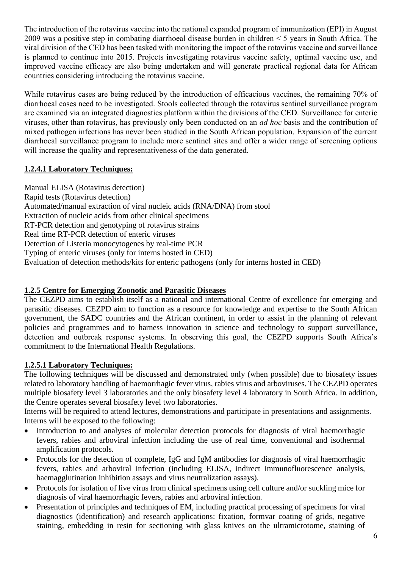The introduction of the rotavirus vaccine into the national expanded program of immunization (EPI) in August 2009 was a positive step in combating diarrhoeal disease burden in children < 5 years in South Africa. The viral division of the CED has been tasked with monitoring the impact of the rotavirus vaccine and surveillance is planned to continue into 2015. Projects investigating rotavirus vaccine safety, optimal vaccine use, and improved vaccine efficacy are also being undertaken and will generate practical regional data for African countries considering introducing the rotavirus vaccine.

While rotavirus cases are being reduced by the introduction of efficacious vaccines, the remaining 70% of diarrhoeal cases need to be investigated. Stools collected through the rotavirus sentinel surveillance program are examined via an integrated diagnostics platform within the divisions of the CED. Surveillance for enteric viruses, other than rotavirus, has previously only been conducted on an *ad hoc* basis and the contribution of mixed pathogen infections has never been studied in the South African population. Expansion of the current diarrhoeal surveillance program to include more sentinel sites and offer a wider range of screening options will increase the quality and representativeness of the data generated.

# **1.2.4.1 Laboratory Techniques:**

Manual ELISA (Rotavirus detection) Rapid tests (Rotavirus detection) Automated/manual extraction of viral nucleic acids (RNA/DNA) from stool Extraction of nucleic acids from other clinical specimens RT-PCR detection and genotyping of rotavirus strains Real time RT-PCR detection of enteric viruses Detection of Listeria monocytogenes by real-time PCR Typing of enteric viruses (only for interns hosted in CED) Evaluation of detection methods/kits for enteric pathogens (only for interns hosted in CED)

## **1.2.5 Centre for Emerging Zoonotic and Parasitic Diseases**

The CEZPD aims to establish itself as a national and international Centre of excellence for emerging and parasitic diseases. CEZPD aim to function as a resource for knowledge and expertise to the South African government, the SADC countries and the African continent, in order to assist in the planning of relevant policies and programmes and to harness innovation in science and technology to support surveillance, detection and outbreak response systems. In observing this goal, the CEZPD supports South Africa's commitment to the International Health Regulations.

# **1.2.5.1 Laboratory Techniques:**

The following techniques will be discussed and demonstrated only (when possible) due to biosafety issues related to laboratory handling of haemorrhagic fever virus, rabies virus and arboviruses. The CEZPD operates multiple biosafety level 3 laboratories and the only biosafety level 4 laboratory in South Africa. In addition, the Centre operates several biosafety level two laboratories.

Interns will be required to attend lectures, demonstrations and participate in presentations and assignments. Interns will be exposed to the following:

- Introduction to and analyses of molecular detection protocols for diagnosis of viral haemorrhagic fevers, rabies and arboviral infection including the use of real time, conventional and isothermal amplification protocols.
- Protocols for the detection of complete, IgG and IgM antibodies for diagnosis of viral haemorrhagic fevers, rabies and arboviral infection (including ELISA, indirect immunofluorescence analysis, haemagglutination inhibition assays and virus neutralization assays).
- Protocols for isolation of live virus from clinical specimens using cell culture and/or suckling mice for diagnosis of viral haemorrhagic fevers, rabies and arboviral infection.
- Presentation of principles and techniques of EM, including practical processing of specimens for viral diagnostics (identification) and research applications: fixation, formvar coating of grids, negative staining, embedding in resin for sectioning with glass knives on the ultramicrotome, staining of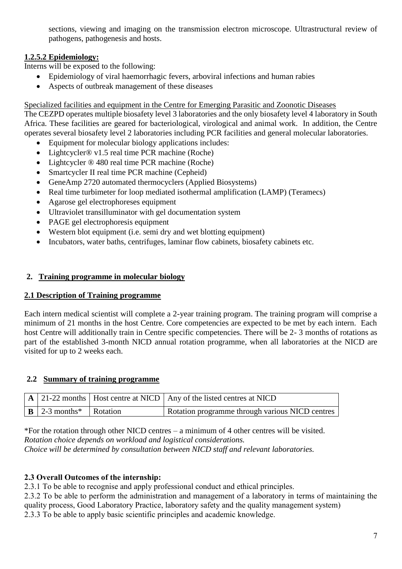sections, viewing and imaging on the transmission electron microscope. Ultrastructural review of pathogens, pathogenesis and hosts.

# **1.2.5.2 Epidemiology:**

Interns will be exposed to the following:

- Epidemiology of viral haemorrhagic fevers, arboviral infections and human rabies
- Aspects of outbreak management of these diseases

#### Specialized facilities and equipment in the Centre for Emerging Parasitic and Zoonotic Diseases

The CEZPD operates multiple biosafety level 3 laboratories and the only biosafety level 4 laboratory in South Africa. These facilities are geared for bacteriological, virological and animal work. In addition, the Centre operates several biosafety level 2 laboratories including PCR facilities and general molecular laboratories.

- Equipment for molecular biology applications includes:
- Lightcycler® v1.5 real time PCR machine (Roche)
- Lightcycler  $\otimes$  480 real time PCR machine (Roche)
- Smartcycler II real time PCR machine (Cepheid)
- GeneAmp 2720 automated thermocyclers (Applied Biosystems)
- Real time turbimeter for loop mediated isothermal amplification (LAMP) (Teramecs)
- Agarose gel electrophoreses equipment
- Ultraviolet transilluminator with gel documentation system
- PAGE gel electrophoresis equipment
- Western blot equipment (i.e. semi dry and wet blotting equipment)
- Incubators, water baths, centrifuges, laminar flow cabinets, biosafety cabinets etc.

### **2. Training programme in molecular biology**

#### **2.1 Description of Training programme**

Each intern medical scientist will complete a 2-year training program. The training program will comprise a minimum of 21 months in the host Centre. Core competencies are expected to be met by each intern. Each host Centre will additionally train in Centre specific competencies. There will be 2- 3 months of rotations as part of the established 3-month NICD annual rotation programme, when all laboratories at the NICD are visited for up to 2 weeks each.

#### **2.2 Summary of training programme**

|                                                      | $\vert A \vert$ 21-22 months   Host centre at NICD   Any of the listed centres at NICD |
|------------------------------------------------------|----------------------------------------------------------------------------------------|
| $\mid$ <b>B</b>   2-3 months <sup>*</sup>   Rotation | Rotation programme through various NICD centres                                        |

\*For the rotation through other NICD centres – a minimum of 4 other centres will be visited. *Rotation choice depends on workload and logistical considerations. Choice will be determined by consultation between NICD staff and relevant laboratories.*

## **2.3 Overall Outcomes of the internship:**

2.3.1 To be able to recognise and apply professional conduct and ethical principles.

2.3.2 To be able to perform the administration and management of a laboratory in terms of maintaining the quality process, Good Laboratory Practice, laboratory safety and the quality management system)

2.3.3 To be able to apply basic scientific principles and academic knowledge.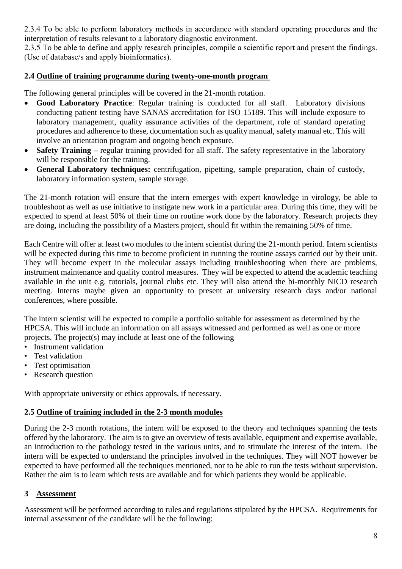2.3.4 To be able to perform laboratory methods in accordance with standard operating procedures and the interpretation of results relevant to a laboratory diagnostic environment.

2.3.5 To be able to define and apply research principles, compile a scientific report and present the findings. (Use of database/s and apply bioinformatics).

#### **2.4 Outline of training programme during twenty-one-month program**

The following general principles will be covered in the 21-month rotation.

- **Good Laboratory Practice**: Regular training is conducted for all staff. Laboratory divisions conducting patient testing have SANAS accreditation for ISO 15189. This will include exposure to laboratory management, quality assurance activities of the department, role of standard operating procedures and adherence to these, documentation such as quality manual, safety manual etc. This will involve an orientation program and ongoing bench exposure.
- **Safety Training –** regular training provided for all staff. The safety representative in the laboratory will be responsible for the training.
- **General Laboratory techniques:** centrifugation, pipetting, sample preparation, chain of custody, laboratory information system, sample storage.

The 21-month rotation will ensure that the intern emerges with expert knowledge in virology, be able to troubleshoot as well as use initiative to instigate new work in a particular area. During this time, they will be expected to spend at least 50% of their time on routine work done by the laboratory. Research projects they are doing, including the possibility of a Masters project, should fit within the remaining 50% of time.

Each Centre will offer at least two modules to the intern scientist during the 21-month period. Intern scientists will be expected during this time to become proficient in running the routine assays carried out by their unit. They will become expert in the molecular assays including troubleshooting when there are problems, instrument maintenance and quality control measures. They will be expected to attend the academic teaching available in the unit e.g. tutorials, journal clubs etc. They will also attend the bi-monthly NICD research meeting. Interns maybe given an opportunity to present at university research days and/or national conferences, where possible.

The intern scientist will be expected to compile a portfolio suitable for assessment as determined by the HPCSA. This will include an information on all assays witnessed and performed as well as one or more projects. The project(s) may include at least one of the following

- Instrument validation
- Test validation
- Test optimisation
- Research question

With appropriate university or ethics approvals, if necessary.

#### **2.5 Outline of training included in the 2-3 month modules**

During the 2-3 month rotations, the intern will be exposed to the theory and techniques spanning the tests offered by the laboratory. The aim is to give an overview of tests available, equipment and expertise available, an introduction to the pathology tested in the various units, and to stimulate the interest of the intern. The intern will be expected to understand the principles involved in the techniques. They will NOT however be expected to have performed all the techniques mentioned, nor to be able to run the tests without supervision. Rather the aim is to learn which tests are available and for which patients they would be applicable.

## **3 Assessment**

Assessment will be performed according to rules and regulations stipulated by the HPCSA. Requirements for internal assessment of the candidate will be the following: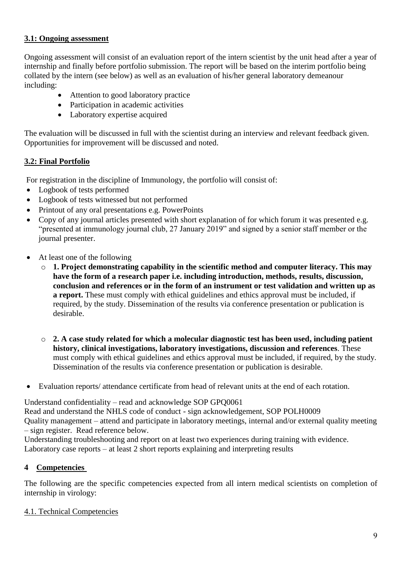### **3.1: Ongoing assessment**

Ongoing assessment will consist of an evaluation report of the intern scientist by the unit head after a year of internship and finally before portfolio submission. The report will be based on the interim portfolio being collated by the intern (see below) as well as an evaluation of his/her general laboratory demeanour including:

- Attention to good laboratory practice
- Participation in academic activities
- Laboratory expertise acquired

The evaluation will be discussed in full with the scientist during an interview and relevant feedback given. Opportunities for improvement will be discussed and noted.

## **3.2: Final Portfolio**

For registration in the discipline of Immunology, the portfolio will consist of:

- Logbook of tests performed
- Logbook of tests witnessed but not performed
- Printout of any oral presentations e.g. PowerPoints
- Copy of any journal articles presented with short explanation of for which forum it was presented e.g. "presented at immunology journal club, 27 January 2019" and signed by a senior staff member or the journal presenter.
- At least one of the following
	- o **1. Project demonstrating capability in the scientific method and computer literacy. This may have the form of a research paper i.e. including introduction, methods, results, discussion, conclusion and references or in the form of an instrument or test validation and written up as a report.** These must comply with ethical guidelines and ethics approval must be included, if required, by the study. Dissemination of the results via conference presentation or publication is desirable.
	- o **2. A case study related for which a molecular diagnostic test has been used, including patient history, clinical investigations, laboratory investigations, discussion and references**. These must comply with ethical guidelines and ethics approval must be included, if required, by the study. Dissemination of the results via conference presentation or publication is desirable.
- Evaluation reports/ attendance certificate from head of relevant units at the end of each rotation.

Understand confidentiality – read and acknowledge SOP GPQ0061

Read and understand the NHLS code of conduct - sign acknowledgement, SOP POLH0009 Quality management – attend and participate in laboratory meetings, internal and/or external quality meeting – sign register. Read reference below.

Understanding troubleshooting and report on at least two experiences during training with evidence. Laboratory case reports – at least 2 short reports explaining and interpreting results

## **4 Competencies**

The following are the specific competencies expected from all intern medical scientists on completion of internship in virology:

#### 4.1. Technical Competencies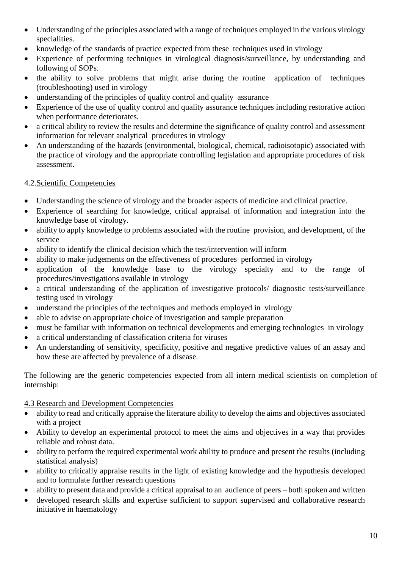- Understanding of the principles associated with a range of techniques employed in the various virology specialities.
- knowledge of the standards of practice expected from these techniques used in virology
- Experience of performing techniques in virological diagnosis/surveillance, by understanding and following of SOPs.
- the ability to solve problems that might arise during the routine application of techniques (troubleshooting) used in virology
- understanding of the principles of quality control and quality assurance
- Experience of the use of quality control and quality assurance techniques including restorative action when performance deteriorates.
- a critical ability to review the results and determine the significance of quality control and assessment information for relevant analytical procedures in virology
- An understanding of the hazards (environmental, biological, chemical, radioisotopic) associated with the practice of virology and the appropriate controlling legislation and appropriate procedures of risk assessment.

### 4.2.Scientific Competencies

- Understanding the science of virology and the broader aspects of medicine and clinical practice.
- Experience of searching for knowledge, critical appraisal of information and integration into the knowledge base of virology.
- ability to apply knowledge to problems associated with the routine provision, and development, of the service
- ability to identify the clinical decision which the test/intervention will inform
- ability to make judgements on the effectiveness of procedures performed in virology
- application of the knowledge base to the virology specialty and to the range of procedures/investigations available in virology
- a critical understanding of the application of investigative protocols/ diagnostic tests/surveillance testing used in virology
- understand the principles of the techniques and methods employed in virology
- able to advise on appropriate choice of investigation and sample preparation
- must be familiar with information on technical developments and emerging technologies in virology
- a critical understanding of classification criteria for viruses
- An understanding of sensitivity, specificity, positive and negative predictive values of an assay and how these are affected by prevalence of a disease.

The following are the generic competencies expected from all intern medical scientists on completion of internship:

#### 4.3 Research and Development Competencies

- ability to read and critically appraise the literature ability to develop the aims and objectives associated with a project
- Ability to develop an experimental protocol to meet the aims and objectives in a way that provides reliable and robust data.
- ability to perform the required experimental work ability to produce and present the results (including statistical analysis)
- ability to critically appraise results in the light of existing knowledge and the hypothesis developed and to formulate further research questions
- ability to present data and provide a critical appraisal to an audience of peers both spoken and written
- developed research skills and expertise sufficient to support supervised and collaborative research initiative in haematology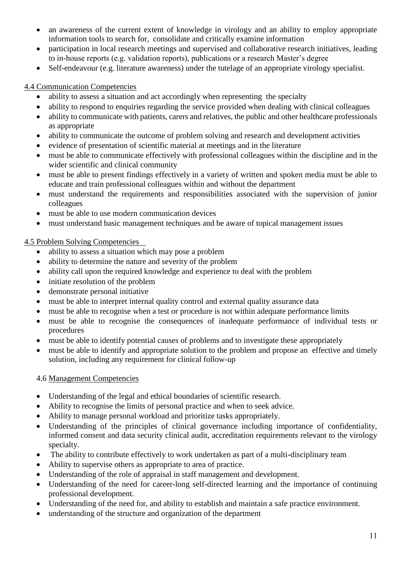- an awareness of the current extent of knowledge in virology and an ability to employ appropriate information tools to search for, consolidate and critically examine information
- participation in local research meetings and supervised and collaborative research initiatives, leading to in-house reports (e.g. validation reports), publications or a research Master's degree
- Self-endeavour (e.g. literature awareness) under the tutelage of an appropriate virology specialist.

4.4 Communication Competencies

- ability to assess a situation and act accordingly when representing the specialty
- ability to respond to enquiries regarding the service provided when dealing with clinical colleagues
- ability to communicate with patients, carers and relatives, the public and other healthcare professionals as appropriate
- ability to communicate the outcome of problem solving and research and development activities
- evidence of presentation of scientific material at meetings and in the literature
- must be able to communicate effectively with professional colleagues within the discipline and in the wider scientific and clinical community
- must be able to present findings effectively in a variety of written and spoken media must be able to educate and train professional colleagues within and without the department
- must understand the requirements and responsibilities associated with the supervision of junior colleagues
- must be able to use modern communication devices
- must understand basic management techniques and be aware of topical management issues

### 4.5 Problem Solving Competencies

- ability to assess a situation which may pose a problem
- ability to determine the nature and severity of the problem
- ability call upon the required knowledge and experience to deal with the problem
- initiate resolution of the problem
- demonstrate personal initiative
- must be able to interpret internal quality control and external quality assurance data
- must be able to recognise when a test or procedure is not within adequate performance limits
- must be able to recognise the consequences of inadequate performance of individual tests or procedures
- must be able to identify potential causes of problems and to investigate these appropriately
- must be able to identify and appropriate solution to the problem and propose an effective and timely solution, including any requirement for clinical follow-up

#### 4.6 Management Competencies

- Understanding of the legal and ethical boundaries of scientific research.
- Ability to recognise the limits of personal practice and when to seek advice.
- Ability to manage personal workload and prioritize tasks appropriately.
- Understanding of the principles of clinical governance including importance of confidentiality, informed consent and data security clinical audit, accreditation requirements relevant to the virology specialty.
- The ability to contribute effectively to work undertaken as part of a multi-disciplinary team
- Ability to supervise others as appropriate to area of practice.
- Understanding of the role of appraisal in staff management and development.
- Understanding of the need for career-long self-directed learning and the importance of continuing professional development.
- Understanding of the need for, and ability to establish and maintain a safe practice environment.
- understanding of the structure and organization of the department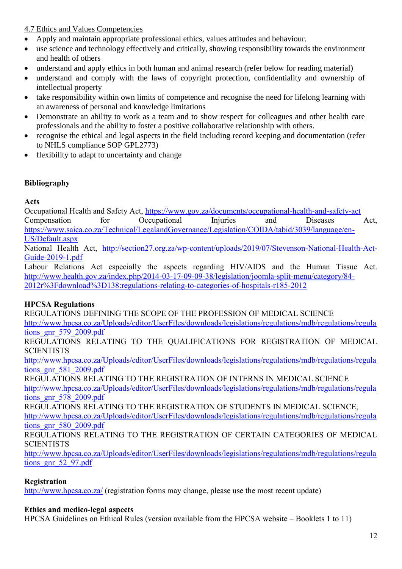## 4.7 Ethics and Values Competencies

- Apply and maintain appropriate professional ethics, values attitudes and behaviour.
- use science and technology effectively and critically, showing responsibility towards the environment and health of others
- understand and apply ethics in both human and animal research (refer below for reading material)
- understand and comply with the laws of copyright protection, confidentiality and ownership of intellectual property
- take responsibility within own limits of competence and recognise the need for lifelong learning with an awareness of personal and knowledge limitations
- Demonstrate an ability to work as a team and to show respect for colleagues and other health care professionals and the ability to foster a positive collaborative relationship with others.
- recognise the ethical and legal aspects in the field including record keeping and documentation (refer to NHLS compliance SOP GPL2773)
- flexibility to adapt to uncertainty and change

# **Bibliography**

**Acts**

Occupational Health and Safety Act,<https://www.gov.za/documents/occupational-health-and-safety-act> Compensation for Occupational Injuries and Diseases Act, [https://www.saica.co.za/Technical/LegalandGovernance/Legislation/COIDA/tabid/3039/language/en-](https://www.saica.co.za/Technical/LegalandGovernance/Legislation/COIDA/tabid/3039/language/en-US/Default.aspx)[US/Default.aspx](https://www.saica.co.za/Technical/LegalandGovernance/Legislation/COIDA/tabid/3039/language/en-US/Default.aspx)

National Health Act, [http://section27.org.za/wp-content/uploads/2019/07/Stevenson-National-Health-Act-](http://section27.org.za/wp-content/uploads/2019/07/Stevenson-National-Health-Act-Guide-2019-1.pdf)[Guide-2019-1.pdf](http://section27.org.za/wp-content/uploads/2019/07/Stevenson-National-Health-Act-Guide-2019-1.pdf)

Labour Relations Act especially the aspects regarding HIV/AIDS and the Human Tissue Act. [http://www.health.gov.za/index.php/2014-03-17-09-09-38/legislation/joomla-split-menu/category/84-](http://www.health.gov.za/index.php/2014-03-17-09-09-38/legislation/joomla-split-menu/category/84-2012r%3Fdownload%3D138:regulations-relating-to-categories-of-hospitals-r185-2012) [2012r%3Fdownload%3D138:regulations-relating-to-categories-of-hospitals-r185-2012](http://www.health.gov.za/index.php/2014-03-17-09-09-38/legislation/joomla-split-menu/category/84-2012r%3Fdownload%3D138:regulations-relating-to-categories-of-hospitals-r185-2012)

# **HPCSA Regulations**

REGULATIONS DEFINING THE SCOPE OF THE PROFESSION OF MEDICAL SCIENCE [http://www.hpcsa.co.za/Uploads/editor/UserFiles/downloads/legislations/regulations/mdb/regulations/regula](http://www.hpcsa.co.za/Uploads/editor/UserFiles/downloads/legislations/regulations/mdb/regulations/regulations_gnr_579_2009.pdf) [tions\\_gnr\\_579\\_2009.pdf](http://www.hpcsa.co.za/Uploads/editor/UserFiles/downloads/legislations/regulations/mdb/regulations/regulations_gnr_579_2009.pdf)

REGULATIONS RELATING TO THE QUALIFICATIONS FOR REGISTRATION OF MEDICAL **SCIENTISTS** 

[http://www.hpcsa.co.za/Uploads/editor/UserFiles/downloads/legislations/regulations/mdb/regulations/regula](http://www.hpcsa.co.za/Uploads/editor/UserFiles/downloads/legislations/regulations/mdb/regulations/regulations_gnr_581_2009.pdf) [tions\\_gnr\\_581\\_2009.pdf](http://www.hpcsa.co.za/Uploads/editor/UserFiles/downloads/legislations/regulations/mdb/regulations/regulations_gnr_581_2009.pdf)

REGULATIONS RELATING TO THE REGISTRATION OF INTERNS IN MEDICAL SCIENCE

[http://www.hpcsa.co.za/Uploads/editor/UserFiles/downloads/legislations/regulations/mdb/regulations/regula](http://www.hpcsa.co.za/Uploads/editor/UserFiles/downloads/legislations/regulations/mdb/regulations/regulations_gnr_578_2009.pdf) tions gnr 578 2009.pdf

REGULATIONS RELATING TO THE REGISTRATION OF STUDENTS IN MEDICAL SCIENCE, [http://www.hpcsa.co.za/Uploads/editor/UserFiles/downloads/legislations/regulations/mdb/regulations/regula](http://www.hpcsa.co.za/Uploads/editor/UserFiles/downloads/legislations/regulations/mdb/regulations/regulations_gnr_580_2009.pdf) [tions\\_gnr\\_580\\_2009.pdf](http://www.hpcsa.co.za/Uploads/editor/UserFiles/downloads/legislations/regulations/mdb/regulations/regulations_gnr_580_2009.pdf)

## REGULATIONS RELATING TO THE REGISTRATION OF CERTAIN CATEGORIES OF MEDICAL **SCIENTISTS**

[http://www.hpcsa.co.za/Uploads/editor/UserFiles/downloads/legislations/regulations/mdb/regulations/regula](http://www.hpcsa.co.za/Uploads/editor/UserFiles/downloads/legislations/regulations/mdb/regulations/regulations_gnr_52_97.pdf) [tions\\_gnr\\_52\\_97.pdf](http://www.hpcsa.co.za/Uploads/editor/UserFiles/downloads/legislations/regulations/mdb/regulations/regulations_gnr_52_97.pdf)

# **Registration**

[http://www.hpcsa.co.za/](http://www.hpcsa.co.za/PBMedicalDental/Registration) (registration forms may change, please use the most recent update)

## **Ethics and medico-legal aspects**

HPCSA Guidelines on Ethical Rules (version available from the HPCSA website – Booklets 1 to 11)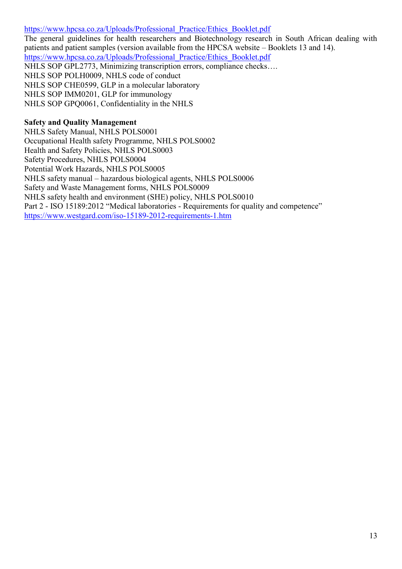[https://www.hpcsa.co.za/Uploads/Professional\\_Practice/Ethics\\_Booklet.pdf](https://www.hpcsa.co.za/Uploads/Professional_Practice/Ethics_Booklet.pdf) The general guidelines for health researchers and Biotechnology research in South African dealing with patients and patient samples (version available from the HPCSA website – Booklets 13 and 14). [https://www.hpcsa.co.za/Uploads/Professional\\_Practice/Ethics\\_Booklet.pdf](https://www.hpcsa.co.za/Uploads/Professional_Practice/Ethics_Booklet.pdf) NHLS SOP GPL2773, Minimizing transcription errors, compliance checks…. NHLS SOP POLH0009, NHLS code of conduct NHLS SOP CHE0599, GLP in a molecular laboratory NHLS SOP IMM0201, GLP for immunology NHLS SOP GPQ0061, Confidentiality in the NHLS

### **Safety and Quality Management**

NHLS Safety Manual, NHLS POLS0001 Occupational Health safety Programme, NHLS POLS0002 Health and Safety Policies, NHLS POLS0003 Safety Procedures, NHLS POLS0004 Potential Work Hazards, NHLS POLS0005 NHLS safety manual – hazardous biological agents, NHLS POLS0006 Safety and Waste Management forms, NHLS POLS0009 NHLS safety health and environment (SHE) policy, NHLS POLS0010 Part 2 - ISO 15189:2012 "Medical laboratories - Requirements for quality and competence" <https://www.westgard.com/iso-15189-2012-requirements-1.htm>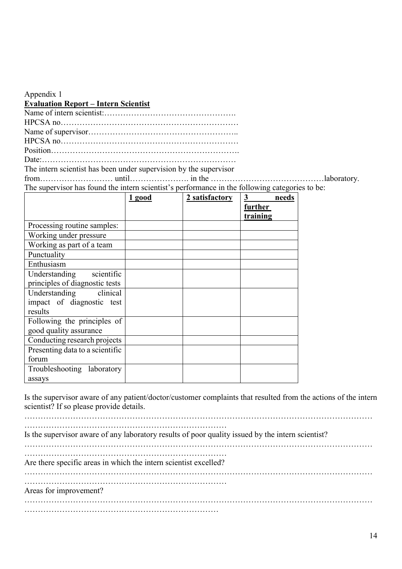| Appendix 1                                                                                     |
|------------------------------------------------------------------------------------------------|
| <b>Evaluation Report - Intern Scientist</b>                                                    |
|                                                                                                |
|                                                                                                |
|                                                                                                |
|                                                                                                |
|                                                                                                |
|                                                                                                |
| The intern scientist has been under supervision by the supervisor                              |
|                                                                                                |
| The supervisor has found the intern scientist's performance in the following categories to be: |

|                                 | 1 good | 2 satisfactory | 3<br>needs<br>further |
|---------------------------------|--------|----------------|-----------------------|
|                                 |        |                | training              |
| Processing routine samples:     |        |                |                       |
| Working under pressure          |        |                |                       |
| Working as part of a team       |        |                |                       |
| Punctuality                     |        |                |                       |
| Enthusiasm                      |        |                |                       |
| Understanding scientific        |        |                |                       |
| principles of diagnostic tests  |        |                |                       |
| Understanding clinical          |        |                |                       |
| impact of diagnostic test       |        |                |                       |
| results                         |        |                |                       |
| Following the principles of     |        |                |                       |
| good quality assurance          |        |                |                       |
| Conducting research projects    |        |                |                       |
| Presenting data to a scientific |        |                |                       |
| forum                           |        |                |                       |
| Troubleshooting laboratory      |        |                |                       |
| assays                          |        |                |                       |

Is the supervisor aware of any patient/doctor/customer complaints that resulted from the actions of the intern scientist? If so please provide details.

| Is the supervisor aware of any laboratory results of poor quality issued by the intern scientist? |
|---------------------------------------------------------------------------------------------------|
| Are there specific areas in which the intern scientist excelled?                                  |
| Areas for improvement?                                                                            |
|                                                                                                   |